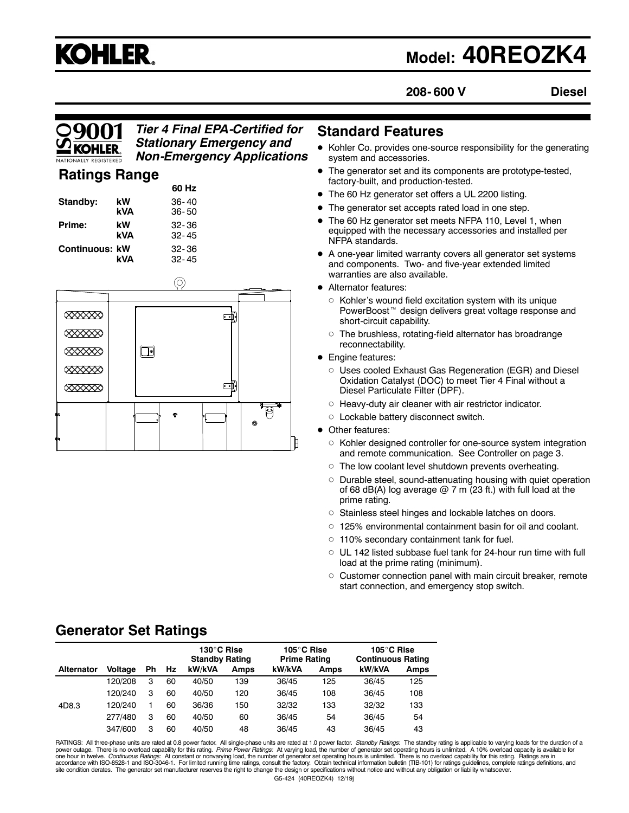# **KOHLER.**

# **Model: 40REOZK4**

**208- 600 V Diesel**

#### *Tier 4 Final EPA-Certified for Stationary Emergency and Non-Emergency Applications*

#### **Ratings Range**

|                       |     | 60 Hz     |
|-----------------------|-----|-----------|
| Standby:              | kW  | $36 - 40$ |
|                       | kVA | $36 - 50$ |
| Prime:                | kW  | $32 - 36$ |
|                       | kVA | $32 - 45$ |
| <b>Continuous: kW</b> |     | $32 - 36$ |
|                       | kVA | $32 - 45$ |



#### **Standard Features**

- Kohler Co. provides one-source responsibility for the generating system and accessories.
- The generator set and its components are prototype-tested, factory-built, and production-tested.
- The 60 Hz generator set offers a UL 2200 listing.
- The generator set accepts rated load in one step.
- The 60 Hz generator set meets NFPA 110, Level 1, when equipped with the necessary accessories and installed per NFPA standards.
- A one-year limited warranty covers all generator set systems and components. Two- and five-year extended limited warranties are also available.
- Alternator features:
	- $\circ$  Kohler's wound field excitation system with its unique PowerBoost<sup>™</sup> design delivers great voltage response and short-circuit capability.
	- $\circ$  The brushless, rotating-field alternator has broadrange reconnectability.
- **•** Engine features:
	- o Uses cooled Exhaust Gas Regeneration (EGR) and Diesel Oxidation Catalyst (DOC) to meet Tier 4 Final without a Diesel Particulate Filter (DPF).
	- $\circ$  Heavy-duty air cleaner with air restrictor indicator.
	- o Lockable battery disconnect switch.
- Other features:
	- $\circ$  Kohler designed controller for one-source system integration and remote communication. See Controller on page 3.
	- $\circ$  The low coolant level shutdown prevents overheating.
	- o Durable steel, sound-attenuating housing with quiet operation of 68 dB(A) log average  $@$  7 m (23 ft.) with full load at the prime rating.
	- o Stainless steel hinges and lockable latches on doors.
	- $\circ$  125% environmental containment basin for oil and coolant.
	- $\circ$  110% secondary containment tank for fuel.
	- $\circ$  UL 142 listed subbase fuel tank for 24-hour run time with full load at the prime rating (minimum).
	- $\circ$  Customer connection panel with main circuit breaker, remote start connection, and emergency stop switch.

### **Generator Set Ratings**

|                   |                |    |    | 130°C Rise<br><b>Standby Rating</b> |             | 105°C Rise<br><b>Prime Rating</b> |             | 105°C Rise<br><b>Continuous Rating</b> |             |
|-------------------|----------------|----|----|-------------------------------------|-------------|-----------------------------------|-------------|----------------------------------------|-------------|
| <b>Alternator</b> | <b>Voltage</b> | Ph | Hz | kW/kVA                              | <b>Amps</b> | kW/kVA                            | <b>Amps</b> | kW/kVA                                 | <b>Amps</b> |
|                   | 120/208        | 3  | 60 | 40/50                               | 139         | 36/45                             | 125         | 36/45                                  | 125         |
|                   | 120/240        | 3  | 60 | 40/50                               | 120         | 36/45                             | 108         | 36/45                                  | 108         |
| 4D8.3             | 120/240        |    | 60 | 36/36                               | 150         | 32/32                             | 133         | 32/32                                  | 133         |
|                   | 277/480        | 3  | 60 | 40/50                               | 60          | 36/45                             | 54          | 36/45                                  | 54          |
|                   | 347/600        | 3  | 60 | 40/50                               | 48          | 36/45                             | 43          | 36/45                                  | 43          |

G5-424 (40REOZK4) 12/19j RATINGS: All three-phase units are rated at 0.8 power factor. All single-phase units are rated at 1.0 power factor. *Standby Ratings:* The standby rating is applicable to varying loads for the duration of a<br>power outage. T accordance with ISO-8528-1 and ISO-3046-1. For limited running time ratings, consult the factory. Obtain technical information bulletin (TIB-101) for ratings guidelines, complete ratings definitions, and<br>site condition der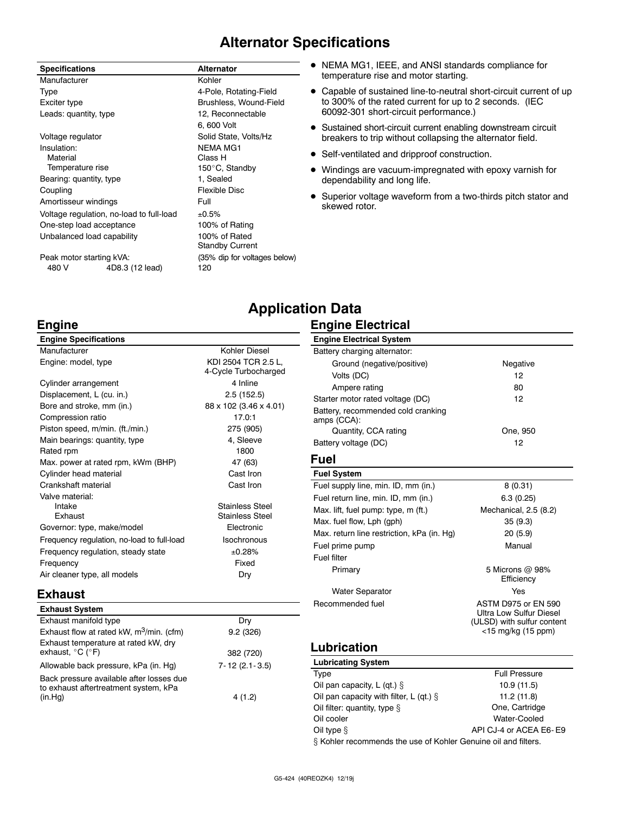## **Alternator Specifications**

| <b>Specifications</b>      |                                          | <b>Alternator</b>            |
|----------------------------|------------------------------------------|------------------------------|
| Manufacturer               |                                          | Kohler                       |
| Type                       |                                          | 4-Pole, Rotating-Field       |
| Exciter type               |                                          | Brushless, Wound-Field       |
| Leads: quantity, type      |                                          | 12, Reconnectable            |
|                            |                                          | 6, 600 Volt                  |
| Voltage regulator          |                                          | Solid State, Volts/Hz        |
| Insulation:                |                                          | <b>NEMA MG1</b>              |
| Material                   |                                          | Class H                      |
| Temperature rise           |                                          | 150°C, Standby               |
| Bearing: quantity, type    |                                          | 1, Sealed                    |
| Coupling                   |                                          | Flexible Disc                |
| Amortisseur windings       |                                          | Full                         |
|                            | Voltage regulation, no-load to full-load | ±0.5%                        |
| One-step load acceptance   |                                          | 100% of Rating               |
| Unbalanced load capability |                                          | 100% of Rated                |
|                            |                                          | <b>Standby Current</b>       |
| Peak motor starting kVA:   |                                          | (35% dip for voltages below) |
| 480 V                      | 4D8.3 (12 lead)                          | 120                          |

- $\bullet$  NEMA MG1, IEEE, and ANSI standards compliance for temperature rise and motor starting.
- Capable of sustained line-to-neutral short-circuit current of up to 300% of the rated current for up to 2 seconds. (IEC 60092-301 short-circuit performance.)
- Sustained short-circuit current enabling downstream circuit breakers to trip without collapsing the alternator field.
- Self-ventilated and dripproof construction.
- $\bullet$  Windings are vacuum-impregnated with epoxy varnish for dependability and long life.
- Superior voltage waveform from a two-thirds pitch stator and skewed rotor.

#### **Engine**

| <b>Engine Specifications</b>               |                                             |
|--------------------------------------------|---------------------------------------------|
| Manufacturer                               | Kohler Diesel                               |
| Engine: model, type                        | KDI 2504 TCR 2.5 L.<br>4-Cycle Turbocharged |
| Cylinder arrangement                       | 4 Inline                                    |
| Displacement, L (cu. in.)                  | 2.5(152.5)                                  |
| Bore and stroke, mm (in.)                  | 88 x 102 (3.46 x 4.01)                      |
| Compression ratio                          | 17.0:1                                      |
| Piston speed, m/min. (ft./min.)            | 275 (905)                                   |
| Main bearings: quantity, type              | 4, Sleeve                                   |
| Rated rpm                                  | 1800                                        |
| Max. power at rated rpm, kWm (BHP)         | 47 (63)                                     |
| Cylinder head material                     | Cast Iron                                   |
| Crankshaft material                        | Cast Iron                                   |
| Valve material:                            |                                             |
| Intake                                     | <b>Stainless Steel</b>                      |
| Exhaust                                    | <b>Stainless Steel</b>                      |
| Governor: type, make/model                 | Electronic                                  |
| Frequency regulation, no-load to full-load | Isochronous                                 |
| Frequency regulation, steady state         | ±0.28%                                      |
| Frequency                                  | Fixed                                       |
| Air cleaner type, all models               | Dry                                         |

#### **Exhaust**

| <b>Exhaust System</b>                                                             |                     |
|-----------------------------------------------------------------------------------|---------------------|
| Exhaust manifold type                                                             | Dry                 |
| Exhaust flow at rated kW, m <sup>3</sup> /min. (cfm)                              | 9.2(326)            |
| Exhaust temperature at rated kW, dry<br>exhaust, $^{\circ}$ C ( $^{\circ}$ F)     | 382 (720)           |
| Allowable back pressure, kPa (in. Hq)                                             | $7 - 12(2.1 - 3.5)$ |
| Back pressure available after losses due<br>to exhaust aftertreatment system, kPa |                     |
| (in.Hq)                                                                           | 4 (1.2)             |

## **Application Data**

#### **Engine Electrical**

| <b>Engine Electrical System</b>                   |                                                                                                    |
|---------------------------------------------------|----------------------------------------------------------------------------------------------------|
| Battery charging alternator:                      |                                                                                                    |
| Ground (negative/positive)                        | Negative                                                                                           |
| Volts (DC)                                        | 12                                                                                                 |
| Ampere rating                                     | 80                                                                                                 |
| Starter motor rated voltage (DC)                  | 12                                                                                                 |
| Battery, recommended cold cranking<br>amps (CCA): |                                                                                                    |
| Quantity, CCA rating                              | One, 950                                                                                           |
| Battery voltage (DC)                              | 12                                                                                                 |
| Fuel                                              |                                                                                                    |
| <b>Fuel System</b>                                |                                                                                                    |
| Fuel supply line, min. ID, mm (in.)               | 8(0.31)                                                                                            |
| Fuel return line, min. ID, mm (in.)               | 6.3(0.25)                                                                                          |
| Max. lift, fuel pump: type, m (ft.)               | Mechanical, 2.5 (8.2)                                                                              |
| Max. fuel flow, Lph (gph)                         | 35(9.3)                                                                                            |
| Max. return line restriction, kPa (in. Hg)        | 20 (5.9)                                                                                           |
| Fuel prime pump                                   | Manual                                                                                             |
| Fuel filter                                       |                                                                                                    |
| Primary                                           | 5 Microns @ 98%<br>Efficiency                                                                      |
| <b>Water Separator</b>                            | Yes                                                                                                |
| Recommended fuel                                  | ASTM D975 or FN 590<br>Ultra Low Sulfur Diesel<br>(ULSD) with sulfur content<br><15 mg/kg (15 ppm) |
|                                                   |                                                                                                    |

#### **Lubrication**

| <b>Lubricating System</b>                                      |                        |
|----------------------------------------------------------------|------------------------|
| Type                                                           | <b>Full Pressure</b>   |
| Oil pan capacity, L (qt.) $\S$                                 | 10.9 (11.5)            |
| Oil pan capacity with filter, L (qt.) $\S$                     | 11.2(11.8)             |
| Oil filter: quantity, type §                                   | One, Cartridge         |
| Oil cooler                                                     | Water-Cooled           |
| Oil type $§$                                                   | API CJ-4 or ACEA E6-E9 |
| § Kohler recommends the use of Kohler Genuine oil and filters. |                        |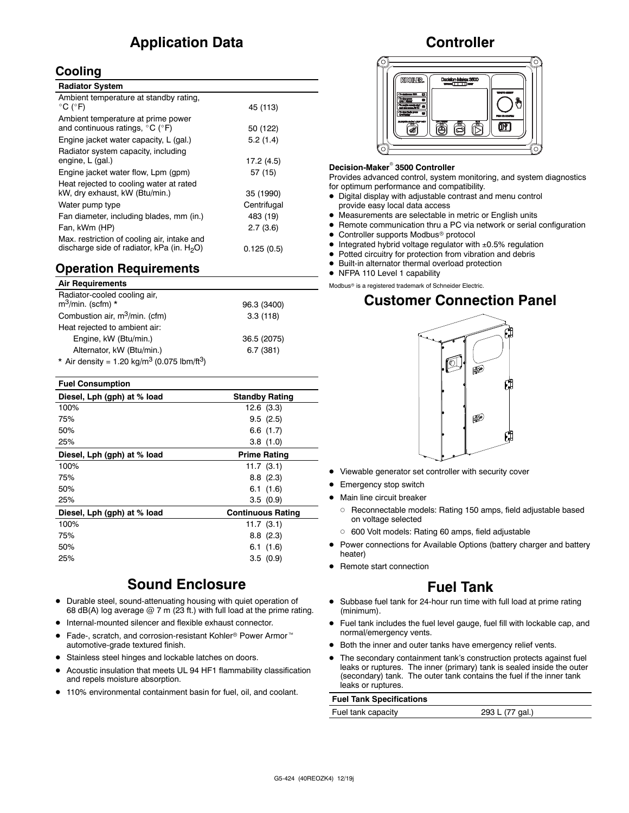## **Application Data**

#### **Cooling**

| <b>Radiator System</b>                                                                       |             |
|----------------------------------------------------------------------------------------------|-------------|
| Ambient temperature at standby rating,<br>$^{\circ}$ C ( $^{\circ}$ F)                       | 45 (113)    |
| Ambient temperature at prime power<br>and continuous ratings, °C (°F)                        | 50 (122)    |
| Engine jacket water capacity, L (gal.)                                                       | 5.2(1.4)    |
| Radiator system capacity, including<br>engine, L (gal.)                                      | 17.2 (4.5)  |
| Engine jacket water flow, Lpm (gpm)                                                          | 57(15)      |
| Heat rejected to cooling water at rated                                                      |             |
| kW, dry exhaust, kW (Btu/min.)                                                               | 35 (1990)   |
| Water pump type                                                                              | Centrifugal |
| Fan diameter, including blades, mm (in.)                                                     | 483 (19)    |
| Fan, kWm (HP)                                                                                | 2.7(3.6)    |
| Max. restriction of cooling air, intake and<br>discharge side of radiator, kPa (in. $H_2O$ ) | 0.125(0.5)  |

#### **Operation Requirements**

| <b>Air Requirements</b>                                            |             |
|--------------------------------------------------------------------|-------------|
| Radiator-cooled cooling air,<br>$m^3$ /min. (scfm) *               | 96.3 (3400) |
| Combustion air, m <sup>3</sup> /min. (cfm)                         | 3.3(118)    |
| Heat rejected to ambient air:                                      |             |
| Engine, kW (Btu/min.)                                              | 36.5 (2075) |
| Alternator, kW (Btu/min.)                                          | 6.7(381)    |
| * Air density = $1.20 \text{ kg/m}^3$ (0.075 lbm/ft <sup>3</sup> ) |             |

| <b>Fuel Consumption</b>     |                          |
|-----------------------------|--------------------------|
| Diesel, Lph (gph) at % load | <b>Standby Rating</b>    |
| 100%                        | 12.6 (3.3)               |
| 75%                         | 9.5(2.5)                 |
| 50%                         | 6.6(1.7)                 |
| 25%                         | 3.8(1.0)                 |
| Diesel, Lph (gph) at % load | <b>Prime Rating</b>      |
| 100%                        | 11.7(3.1)                |
| 75%                         | $8.8$ $(2.3)$            |
| 50%                         | 6.1(1.6)                 |
| 25%                         | 3.5(0.9)                 |
| Diesel, Lph (gph) at % load | <b>Continuous Rating</b> |
| 100%                        | 11.7(3.1)                |
| 75%                         | 8.8(2.3)                 |
| 50%                         | 6.1(1.6)                 |
| 25%                         | 3.5(0.9)                 |
|                             |                          |

#### **Sound Enclosure**

- Durable steel, sound-attenuating housing with quiet operation of 68 dB(A) log average  $@$  7 m (23 ft.) with full load at the prime rating.
- Internal-mounted silencer and flexible exhaust connector.
- Fade-, scratch, and corrosion-resistant Kohler<sup>®</sup> Power Armor<sup>™</sup> automotive-grade textured finish.
- Stainless steel hinges and lockable latches on doors.
- Acoustic insulation that meets UL 94 HF1 flammability classification and repels moisture absorption.
- 110% environmental containment basin for fuel, oil, and coolant.

#### **Controller**



#### **Decision-Maker<sup>®</sup> 3500 Controller**

Provides advanced control, system monitoring, and system diagnostics for optimum performance and compatibility.

- $\bullet$  Digital display with adjustable contrast and menu control provide easy local data access
- $\bullet$  Measurements are selectable in metric or English units
- Remote communication thru a PC via network or serial configuration
- Controller supports Modbus<sup>®</sup> protocol
- $\bullet$  Integrated hybrid voltage regulator with  $\pm 0.5\%$  regulation
- $\bullet$  Potted circuitry for protection from vibration and debris
- $\bullet$  Built-in alternator thermal overload protection
- NFPA 110 Level 1 capability
- Modbus<sup>®</sup> is a registered trademark of Schneider Electric.

#### **Customer Connection Panel**



- Viewable generator set controller with security cover
- Emergency stop switch
- Main line circuit breaker
	- o Reconnectable models: Rating 150 amps, field adjustable based on voltage selected
	- o 600 Volt models: Rating 60 amps, field adjustable
- Power connections for Available Options (battery charger and battery heater)
- Remote start connection

#### **Fuel Tank**

- Subbase fuel tank for 24-hour run time with full load at prime rating (minimum).
- Fuel tank includes the fuel level gauge, fuel fill with lockable cap, and normal/emergency vents.
- Both the inner and outer tanks have emergency relief vents.
- The secondary containment tank's construction protects against fuel leaks or ruptures. The inner (primary) tank is sealed inside the outer (secondary) tank. The outer tank contains the fuel if the inner tank leaks or ruptures.

#### **Fuel Tank Specifications**

Fuel tank capacity 293 L (77 gal.)